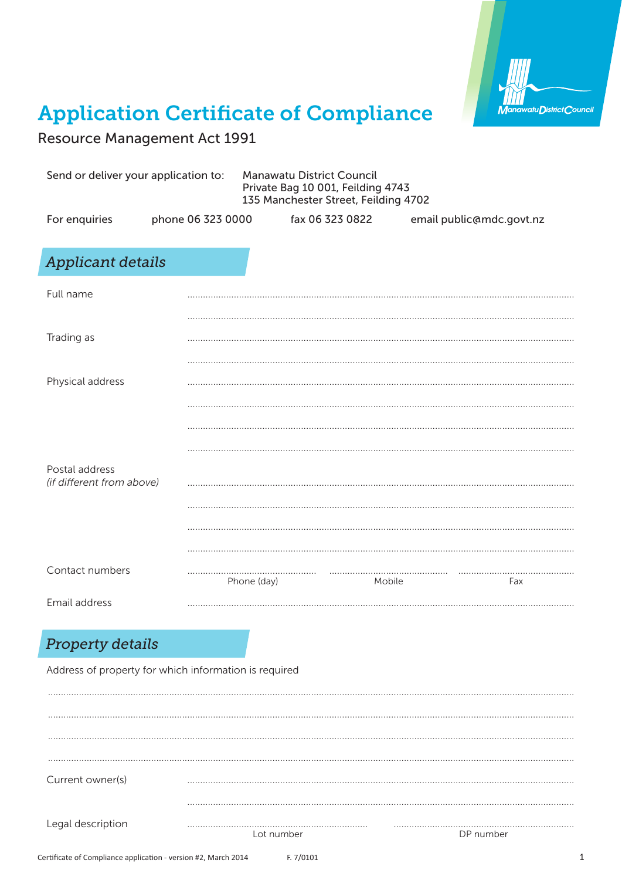

## **Application Certificate of Compliance**

**Resource Management Act 1991** 

| Send or deliver your application to:        |                   | <b>Manawatu District Council</b><br>Private Bag 10 001, Feilding 4743<br>135 Manchester Street, Feilding 4702 |                 |                          |     |
|---------------------------------------------|-------------------|---------------------------------------------------------------------------------------------------------------|-----------------|--------------------------|-----|
| For enquiries                               | phone 06 323 0000 |                                                                                                               | fax 06 323 0822 | email public@mdc.govt.nz |     |
| <b>Applicant details</b>                    |                   |                                                                                                               |                 |                          |     |
| Full name                                   |                   |                                                                                                               |                 |                          |     |
| Trading as                                  |                   |                                                                                                               |                 |                          |     |
|                                             |                   |                                                                                                               |                 |                          |     |
| Physical address                            |                   |                                                                                                               |                 |                          |     |
|                                             |                   |                                                                                                               |                 |                          |     |
|                                             |                   |                                                                                                               |                 |                          |     |
| Postal address<br>(if different from above) |                   |                                                                                                               |                 |                          |     |
|                                             |                   |                                                                                                               |                 |                          |     |
|                                             |                   |                                                                                                               |                 |                          |     |
| Contact numbers                             | .                 | Phone (day)                                                                                                   | .<br>Mobile     |                          | Fax |
| <b>Email address</b>                        |                   |                                                                                                               |                 |                          |     |

## **Property details**

Address of property for which information is required

| Current owner(s)  |            |           |
|-------------------|------------|-----------|
|                   |            |           |
| Legal description |            |           |
|                   | Lot number | DP number |